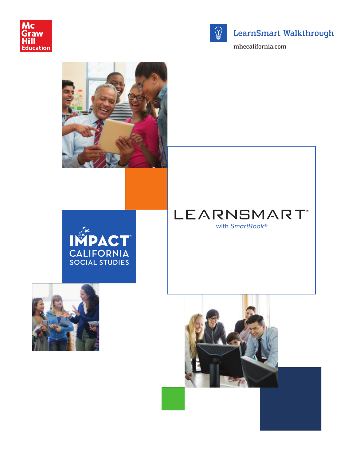



## LearnSmart Walkthrough

mhecalifornia.com





LEARNSMART® with *SmartBook*®



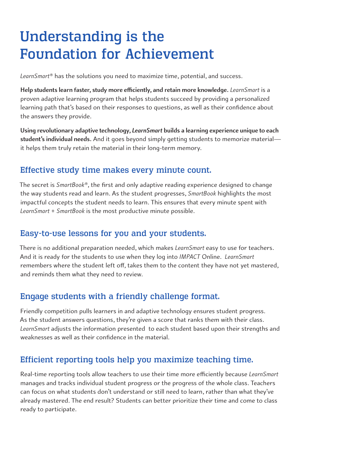# Understanding is the Foundation for Achievement

*LearnSmart*® has the solutions you need to maximize time, potential, and success.

**Help students learn faster, study more efficiently, and retain more knowledge.** *LearnSmart* is a proven adaptive learning program that helps students succeed by providing a personalized learning path that's based on their responses to questions, as well as their confidence about the answers they provide.

**Using revolutionary adaptive technology,** *LearnSmart* **builds a learning experience unique to each student's individual needs.** And it goes beyond simply getting students to memorize material it helps them truly retain the material in their long-term memory.

## Effective study time makes every minute count.

The secret is *SmartBook*®, the first and only adaptive reading experience designed to change the way students read and learn. As the student progresses, *SmartBook* highlights the most impactful concepts the student needs to learn. This ensures that every minute spent with *LearnSmart* + *SmartBook* is the most productive minute possible.

### Easy-to-use lessons for you and your students.

There is no additional preparation needed, which makes *LearnSmart* easy to use for teachers. And it is ready for the students to use when they log into *IMPACT* Online. *LearnSmart* remembers where the student left off, takes them to the content they have not yet mastered, and reminds them what they need to review.

## Engage students with a friendly challenge format.

Friendly competition pulls learners in and adaptive technology ensures student progress. As the student answers questions, they're given a score that ranks them with their class. *LearnSmart* adjusts the information presented to each student based upon their strengths and weaknesses as well as their confidence in the material.

## Efficient reporting tools help you maximize teaching time.

Real-time reporting tools allow teachers to use their time more efficiently because *LearnSmart* manages and tracks individual student progress or the progress of the whole class. Teachers can focus on what students don't understand or still need to learn, rather than what they've already mastered. The end result? Students can better prioritize their time and come to class ready to participate.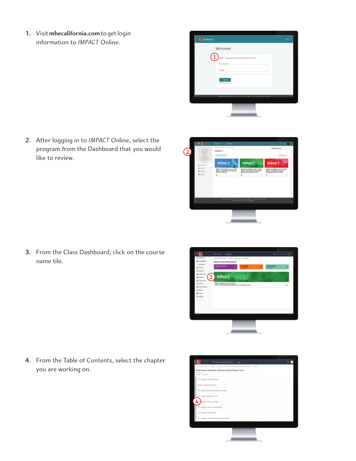**1.** Visit **mhecalifornia.com** to get login information to *IMPACT* Online.

| Econed?                                        |                                                  |  |
|------------------------------------------------|--------------------------------------------------|--|
| Welcome                                        |                                                  |  |
|                                                | Sign in Juing your McGraw-Hill Education Account |  |
| <b>Enterprise</b>                              |                                                  |  |
| <b>Analysis</b>                                |                                                  |  |
| <b>Sing Inc.</b><br><b>Amps four losperate</b> |                                                  |  |
|                                                |                                                  |  |
|                                                | Detected a Window Ally, is always there in       |  |
|                                                |                                                  |  |
|                                                |                                                  |  |

**2.** After logging in to *IMPACT* Online, select the program from the Dashboard that you would like to review.







**4.** From the Table of Contents, select the chapter you are working on.

| Over Stanley                                | World History & Geography: Medieval and Early Medem Times |  |
|---------------------------------------------|-----------------------------------------------------------|--|
| 2 Rendando Hateriarlo Torrito               |                                                           |  |
| Feature, The Nortein 300-CA                 |                                                           |  |
| 2 Dayser I Rone anothe Ree of Despaty       |                                                           |  |
| <b>3</b> Shapler & Machinett Europa         |                                                           |  |
| 4<br><b>Chapter 3: Nights Coverage</b>      |                                                           |  |
| 3 Elisaber 4: Indoors the Mottle Highli     |                                                           |  |
| <b>K</b> Chaple 1, Higans Chie              |                                                           |  |
| F Deale & The Ordgellane of Korea and Japan |                                                           |  |
|                                             |                                                           |  |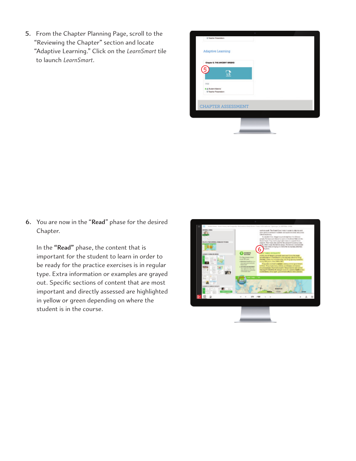**5.** From the Chapter Planning Page, scroll to the "Reviewing the Chapter" section and locate "Adaptive Learning." Click on the *LearnSmart* tile to launch *LearnSmart*.



**6.** You are now in the "**Read**" phase for the desired Chapter.

 In the **"Read"** phase, the content that is important for the student to learn in order to be ready for the practice exercises is in regular type. Extra information or examples are grayed out. Specific sections of content that are most important and directly assessed are highlighted in yellow or green depending on where the student is in the course.

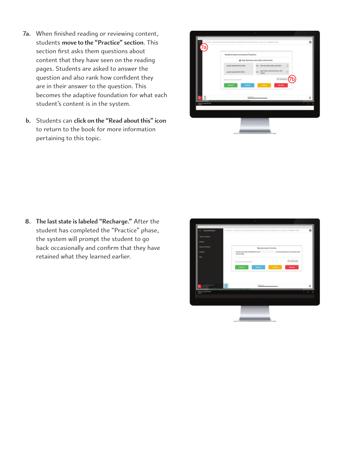- **7a.** When finished reading or reviewing content, students **move to the "Practice" section**. This section first asks them questions about content that they have seen on the reading pages. Students are asked to answer the question and also rank how confident they are in their answer to the question. This becomes the adaptive foundation for what each student's content is in the system.
- **b.** Students can **click on the "Read about this" icon** to return to the book for more information pertaining to this topic.

|                                       | ı                                                                                    |                 |
|---------------------------------------|--------------------------------------------------------------------------------------|-----------------|
| of States - Mark Midson and           | sally Bishimirand Early/Rodon Treas, 2019 California Spickraph, N. 8000004, Collisia | ۵               |
|                                       |                                                                                      |                 |
|                                       | Interestly the largest to and exports of Tang-China.                                 |                 |
|                                       | @ One concess potheright to moch the left.                                           |                 |
|                                       | gearis requested them Drive<br>are sith tro, steel, paper, parentale                 |                 |
|                                       | gold, allean, premises strenes, fina-<br>goods hepatoches/China<br>www.is            |                 |
|                                       | De pou losse the answer?                                                             | 21 Installation |
|                                       | <b>Hanna</b> it<br><b>Share</b><br><b>Think as</b>                                   | <b>His Max</b>  |
|                                       |                                                                                      |                 |
| B                                     | 1400                                                                                 |                 |
| Chapter & Imperiel Chines<br>Hospital | HADTED ASSESSMENT                                                                    | ×<br>×          |
|                                       |                                                                                      |                 |
|                                       |                                                                                      |                 |
|                                       |                                                                                      |                 |
|                                       |                                                                                      |                 |
|                                       |                                                                                      |                 |

**8. The last state is labeled "Recharge."** After the student has completed the "Practice" phase, the system will prompt the student to go back occasionally and confirm that they have retained what they learned earlier.

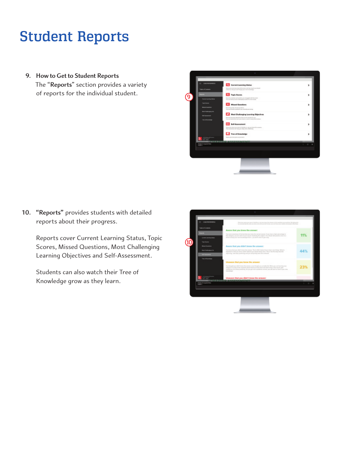# Student Reports

**9. How to Get to Student Reports** The "**Reports**" section provides a variety of reports for the individual student.



**10. "Reports"** provides students with detailed reports about their progress.

> Reports cover Current Learning Status, Topic Scores, Missed Questions, Most Challenging Learning Objectives and Self-Assessment.

Students can also watch their Tree of Knowledge grow as they learn.

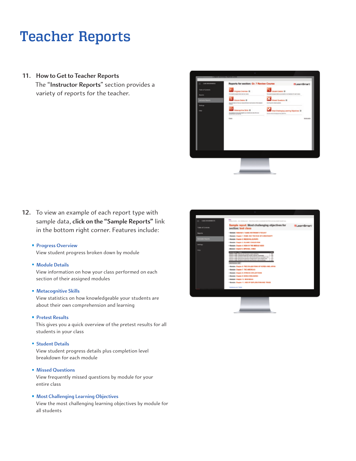## Teacher Reports

**11. How to Get to Teacher Reports** The "**Instructor Reports**" section provides a variety of reports for the teacher.



**12.** To view an example of each report type with sample data, **click on the "Sample Reports"** link in the bottom right corner. Features include:

#### **Progress Overview**

View student progress broken down by module

#### **Module Details**

View information on how your class performed on each section of their assigned modules

#### **Metacognitive Skills**

View statistics on how knowledgeable your students are about their own comprehension and learning

#### **Pretest Results**

This gives you a quick overview of the pretest results for all students in your class

#### **Student Details**

View student progress details plus completion level breakdown for each module

#### **Missed Questions**

View frequently missed questions by module for your entire class

#### **Most Challenging Learning Objectives**

View the most challenging learning objectives by module for all students